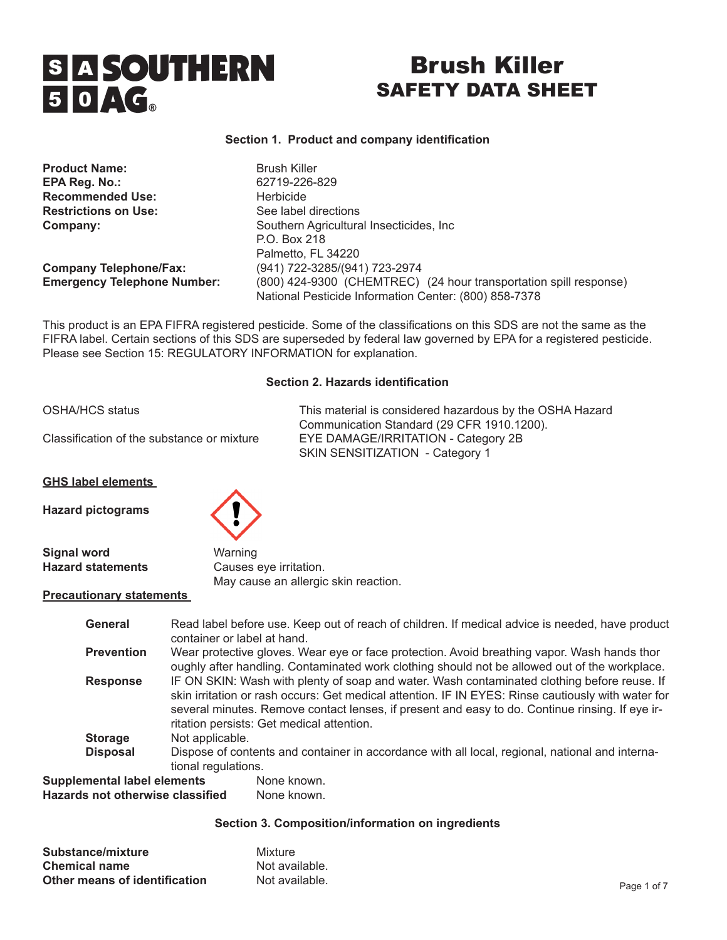# **SIA SOUTHERN** 50AG

## Brush Killer SAFETY DATA SHEET

### **Section 1. Product and company identification**

| <b>Product Name:</b>               | <b>Brush Killer</b>                                               |
|------------------------------------|-------------------------------------------------------------------|
| EPA Reg. No.:                      | 62719-226-829                                                     |
| <b>Recommended Use:</b>            | Herbicide                                                         |
| <b>Restrictions on Use:</b>        | See label directions                                              |
| Company:                           | Southern Agricultural Insecticides, Inc.                          |
|                                    | P.O. Box 218                                                      |
|                                    | Palmetto, FL 34220                                                |
| <b>Company Telephone/Fax:</b>      | (941) 722-3285/(941) 723-2974                                     |
| <b>Emergency Telephone Number:</b> | (800) 424-9300 (CHEMTREC) (24 hour transportation spill response) |
|                                    | National Pesticide Information Center: (800) 858-7378             |

This product is an EPA FIFRA registered pesticide. Some of the classifications on this SDS are not the same as the FIFRA label. Certain sections of this SDS are superseded by federal law governed by EPA for a registered pesticide. Please see Section 15: REGULATORY INFORMATION for explanation.

#### **Section 2. Hazards identification**

| <b>OSHA/HCS status</b>                     |                        | This material is considered hazardous by the OSHA Hazard<br>Communication Standard (29 CFR 1910.1200). |
|--------------------------------------------|------------------------|--------------------------------------------------------------------------------------------------------|
| Classification of the substance or mixture |                        | EYE DAMAGE/IRRITATION - Category 2B<br>SKIN SENSITIZATION - Category 1                                 |
| <b>GHS label elements</b>                  |                        |                                                                                                        |
| <b>Hazard pictograms</b>                   |                        |                                                                                                        |
| <b>Signal word</b>                         | Warning                |                                                                                                        |
| <b>Hazard statements</b>                   | Causes eye irritation. |                                                                                                        |
|                                            |                        | May cause an allergic skin reaction.                                                                   |
| <b>Precautionary statements</b>            |                        |                                                                                                        |

| General                                                                | container or label at hand.                                                                                                                                                                                                                                                                                                                       | Read label before use. Keep out of reach of children. If medical advice is needed, have product                                                                                              |
|------------------------------------------------------------------------|---------------------------------------------------------------------------------------------------------------------------------------------------------------------------------------------------------------------------------------------------------------------------------------------------------------------------------------------------|----------------------------------------------------------------------------------------------------------------------------------------------------------------------------------------------|
| <b>Prevention</b>                                                      |                                                                                                                                                                                                                                                                                                                                                   | Wear protective gloves. Wear eye or face protection. Avoid breathing vapor. Wash hands thor<br>oughly after handling. Contaminated work clothing should not be allowed out of the workplace. |
| <b>Response</b>                                                        | IF ON SKIN: Wash with plenty of soap and water. Wash contaminated clothing before reuse. If<br>skin irritation or rash occurs: Get medical attention. IF IN EYES: Rinse cautiously with water for<br>several minutes. Remove contact lenses, if present and easy to do. Continue rinsing. If eye ir-<br>ritation persists: Get medical attention. |                                                                                                                                                                                              |
| <b>Storage</b>                                                         | Not applicable.                                                                                                                                                                                                                                                                                                                                   |                                                                                                                                                                                              |
| <b>Disposal</b>                                                        | Dispose of contents and container in accordance with all local, regional, national and interna-<br>tional regulations.                                                                                                                                                                                                                            |                                                                                                                                                                                              |
| <b>Supplemental label elements</b><br>Hazards not otherwise classified |                                                                                                                                                                                                                                                                                                                                                   | None known.<br>None known.                                                                                                                                                                   |

#### **Section 3. Composition/information on ingredients**

| Substance/mixture             | Mixture        |
|-------------------------------|----------------|
| <b>Chemical name</b>          | Not available. |
| Other means of identification | Not available. |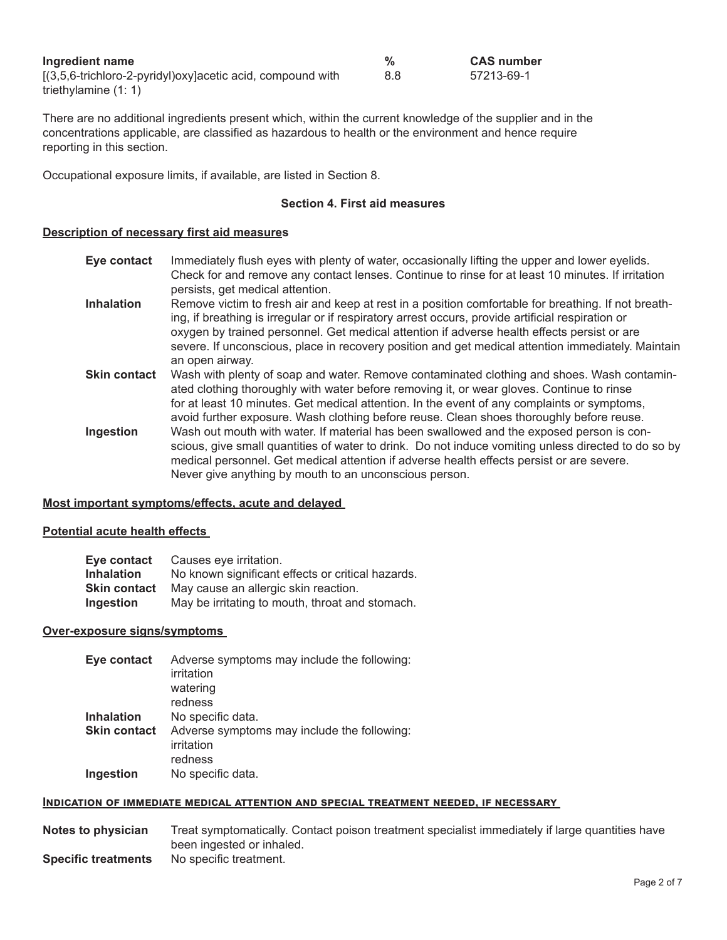| Ingredient name                                            |     | <b>CAS number</b> |
|------------------------------------------------------------|-----|-------------------|
| [(3,5,6-trichloro-2-pyridyl)oxy]acetic acid, compound with | 8.8 | 57213-69-1        |
| triethylamine $(1:1)$                                      |     |                   |

There are no additional ingredients present which, within the current knowledge of the supplier and in the concentrations applicable, are classified as hazardous to health or the environment and hence require reporting in this section.

Occupational exposure limits, if available, are listed in Section 8.

#### **Section 4. First aid measures**

#### **Description of necessary first aid measures**

- **Eye contact** Immediately flush eyes with plenty of water, occasionally lifting the upper and lower eyelids. Check for and remove any contact lenses. Continue to rinse for at least 10 minutes. If irritation persists, get medical attention.
- **Inhalation** Remove victim to fresh air and keep at rest in a position comfortable for breathing. If not breathing, if breathing is irregular or if respiratory arrest occurs, provide artificial respiration or oxygen by trained personnel. Get medical attention if adverse health effects persist or are severe. If unconscious, place in recovery position and get medical attention immediately. Maintain an open airway.
- **Skin contact** Wash with plenty of soap and water. Remove contaminated clothing and shoes. Wash contaminated clothing thoroughly with water before removing it, or wear gloves. Continue to rinse for at least 10 minutes. Get medical attention. In the event of any complaints or symptoms, avoid further exposure. Wash clothing before reuse. Clean shoes thoroughly before reuse. **Ingestion** Wash out mouth with water. If material has been swallowed and the exposed person is con
	- scious, give small quantities of water to drink. Do not induce vomiting unless directed to do so by medical personnel. Get medical attention if adverse health effects persist or are severe. Never give anything by mouth to an unconscious person.

#### **Most important symptoms/effects, acute and delayed**

#### **Potential acute health effects**

| Eye contact       | Causes eye irritation.                            |
|-------------------|---------------------------------------------------|
| <b>Inhalation</b> | No known significant effects or critical hazards. |
| Skin contact      | May cause an allergic skin reaction.              |
| Ingestion         | May be irritating to mouth, throat and stomach.   |

#### **Over-exposure signs/symptoms**

| Eye contact         | Adverse symptoms may include the following: |
|---------------------|---------------------------------------------|
|                     | irritation                                  |
|                     | watering                                    |
|                     | redness                                     |
| Inhalation          | No specific data.                           |
| <b>Skin contact</b> | Adverse symptoms may include the following: |
|                     | irritation                                  |
|                     | redness                                     |
| <b>Ingestion</b>    | No specific data.                           |
|                     |                                             |

#### **Indication of immediate medical attention and special treatment needed, if necessary**

**Notes to physician** Treat symptomatically. Contact poison treatment specialist immediately if large quantities have been ingested or inhaled. **Specific treatments** No specific treatment.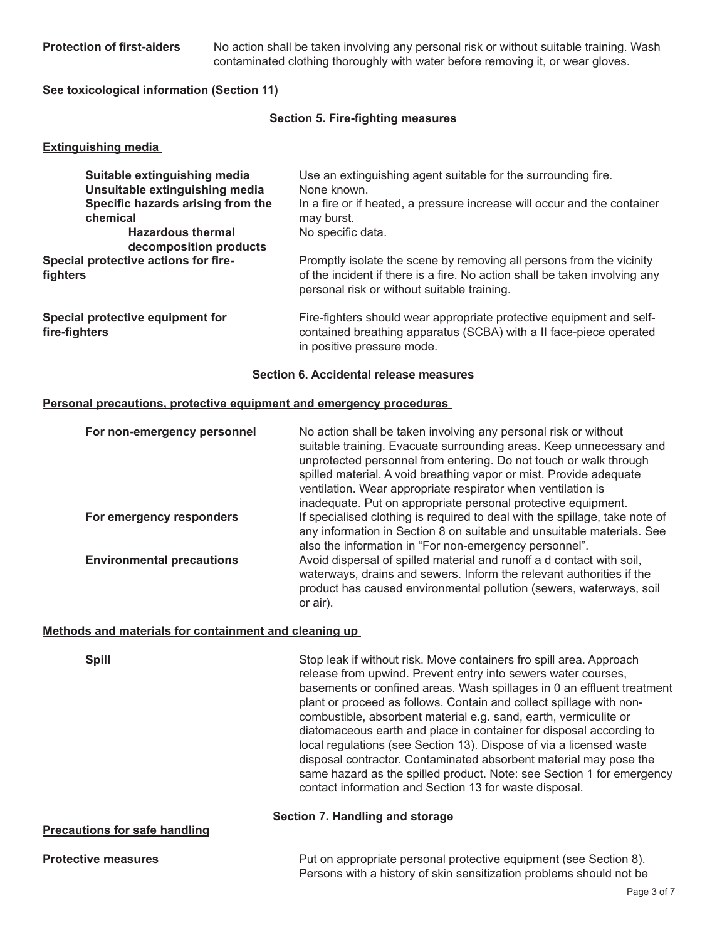**Protection of first-aiders** No action shall be taken involving any personal risk or without suitable training. Wash contaminated clothing thoroughly with water before removing it, or wear gloves.

**See toxicological information (Section 11)**

#### **Section 5. Fire-fighting measures**

#### **Extinguishing media**

| Suitable extinguishing media<br>Unsuitable extinguishing media | Use an extinguishing agent suitable for the surrounding fire.<br>None known.                                                                                                                      |
|----------------------------------------------------------------|---------------------------------------------------------------------------------------------------------------------------------------------------------------------------------------------------|
| Specific hazards arising from the<br>chemical                  | In a fire or if heated, a pressure increase will occur and the container<br>may burst.                                                                                                            |
| <b>Hazardous thermal</b><br>decomposition products             | No specific data.                                                                                                                                                                                 |
| Special protective actions for fire-<br>fighters               | Promptly isolate the scene by removing all persons from the vicinity<br>of the incident if there is a fire. No action shall be taken involving any<br>personal risk or without suitable training. |
| Special protective equipment for<br>fire-fighters              | Fire-fighters should wear appropriate protective equipment and self-<br>contained breathing apparatus (SCBA) with a II face-piece operated<br>in positive pressure mode.                          |

#### **Section 6. Accidental release measures**

#### **Personal precautions, protective equipment and emergency procedures**

| For non-emergency personnel      | No action shall be taken involving any personal risk or without<br>suitable training. Evacuate surrounding areas. Keep unnecessary and<br>unprotected personnel from entering. Do not touch or walk through<br>spilled material. A void breathing vapor or mist. Provide adequate<br>ventilation. Wear appropriate respirator when ventilation is<br>inadequate. Put on appropriate personal protective equipment. |
|----------------------------------|--------------------------------------------------------------------------------------------------------------------------------------------------------------------------------------------------------------------------------------------------------------------------------------------------------------------------------------------------------------------------------------------------------------------|
| For emergency responders         | If specialised clothing is required to deal with the spillage, take note of<br>any information in Section 8 on suitable and unsuitable materials. See<br>also the information in "For non-emergency personnel".                                                                                                                                                                                                    |
| <b>Environmental precautions</b> | Avoid dispersal of spilled material and runoff a d contact with soil,<br>waterways, drains and sewers. Inform the relevant authorities if the<br>product has caused environmental pollution (sewers, waterways, soil<br>or air).                                                                                                                                                                                   |

#### **Methods and materials for containment and cleaning up**

| <b>Spill</b>                         | Stop leak if without risk. Move containers fro spill area. Approach<br>release from upwind. Prevent entry into sewers water courses,<br>basements or confined areas. Wash spillages in 0 an effluent treatment<br>plant or proceed as follows. Contain and collect spillage with non-<br>combustible, absorbent material e.g. sand, earth, vermiculite or<br>diatomaceous earth and place in container for disposal according to<br>local regulations (see Section 13). Dispose of via a licensed waste<br>disposal contractor. Contaminated absorbent material may pose the<br>same hazard as the spilled product. Note: see Section 1 for emergency<br>contact information and Section 13 for waste disposal. |
|--------------------------------------|-----------------------------------------------------------------------------------------------------------------------------------------------------------------------------------------------------------------------------------------------------------------------------------------------------------------------------------------------------------------------------------------------------------------------------------------------------------------------------------------------------------------------------------------------------------------------------------------------------------------------------------------------------------------------------------------------------------------|
| <b>Precautions for safe handling</b> | Section 7. Handling and storage                                                                                                                                                                                                                                                                                                                                                                                                                                                                                                                                                                                                                                                                                 |
| <b>Protective measures</b>           | Put on appropriate personal protective equipment (see Section 8).<br>Persons with a history of skin sensitization problems should not be                                                                                                                                                                                                                                                                                                                                                                                                                                                                                                                                                                        |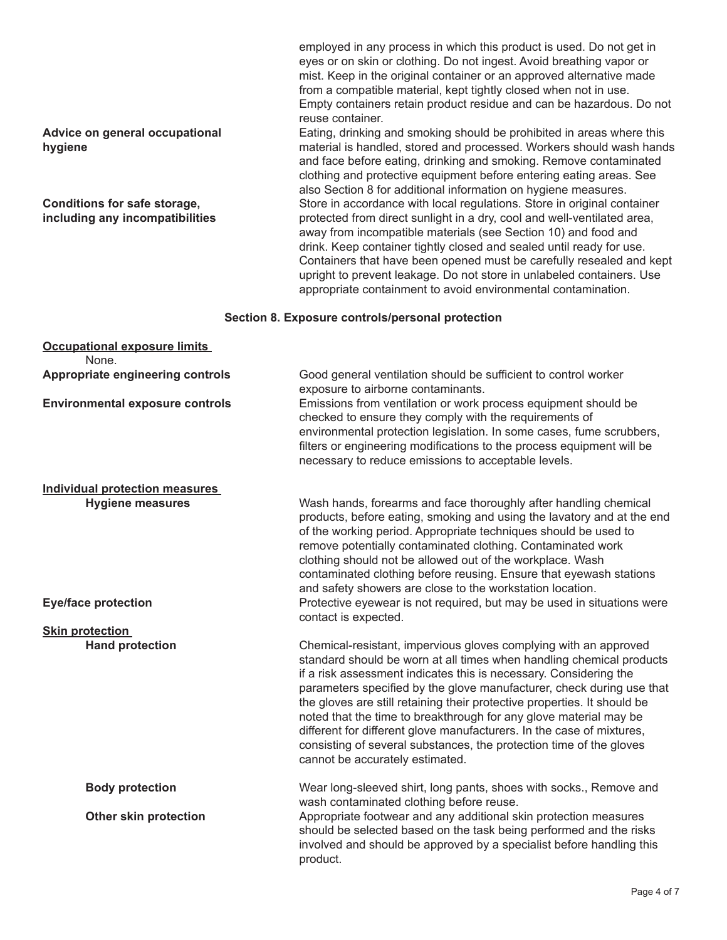employed in any process in which this product is used. Do not get in eyes or on skin or clothing. Do not ingest. Avoid breathing vapor or mist. Keep in the original container or an approved alternative made from a compatible material, kept tightly closed when not in use. Empty containers retain product residue and can be hazardous. Do not reuse container.

**Advice on general occupational** Eating, drinking and smoking should be prohibited in areas where this **hygiene hygiene material is handled, stored and processed. Workers should wash hands** and face before eating, drinking and smoking. Remove contaminated clothing and protective equipment before entering eating areas. See also Section 8 for additional information on hygiene measures. **Conditions for safe storage, Store in accordance with local regulations. Store in original container including any incompatibilities protected from direct sunlight in a dry, cool and well-ventilated area,** away from incompatible materials (see Section 10) and food and drink. Keep container tightly closed and sealed until ready for use. Containers that have been opened must be carefully resealed and kept upright to prevent leakage. Do not store in unlabeled containers. Use appropriate containment to avoid environmental contamination.

#### **Section 8. Exposure controls/personal protection**

| <b>Occupational exposure limits</b>       |                                                                                                                                                                                                                                                                                                                                                                                                                                                                                                                                                                                                                            |
|-------------------------------------------|----------------------------------------------------------------------------------------------------------------------------------------------------------------------------------------------------------------------------------------------------------------------------------------------------------------------------------------------------------------------------------------------------------------------------------------------------------------------------------------------------------------------------------------------------------------------------------------------------------------------------|
| None.<br>Appropriate engineering controls | Good general ventilation should be sufficient to control worker<br>exposure to airborne contaminants.                                                                                                                                                                                                                                                                                                                                                                                                                                                                                                                      |
| <b>Environmental exposure controls</b>    | Emissions from ventilation or work process equipment should be<br>checked to ensure they comply with the requirements of<br>environmental protection legislation. In some cases, fume scrubbers,<br>filters or engineering modifications to the process equipment will be<br>necessary to reduce emissions to acceptable levels.                                                                                                                                                                                                                                                                                           |
| <b>Individual protection measures</b>     |                                                                                                                                                                                                                                                                                                                                                                                                                                                                                                                                                                                                                            |
| <b>Hygiene measures</b>                   | Wash hands, forearms and face thoroughly after handling chemical<br>products, before eating, smoking and using the lavatory and at the end<br>of the working period. Appropriate techniques should be used to<br>remove potentially contaminated clothing. Contaminated work<br>clothing should not be allowed out of the workplace. Wash<br>contaminated clothing before reusing. Ensure that eyewash stations<br>and safety showers are close to the workstation location.                                                                                                                                               |
| <b>Eye/face protection</b>                | Protective eyewear is not required, but may be used in situations were<br>contact is expected.                                                                                                                                                                                                                                                                                                                                                                                                                                                                                                                             |
| <b>Skin protection</b>                    |                                                                                                                                                                                                                                                                                                                                                                                                                                                                                                                                                                                                                            |
| <b>Hand protection</b>                    | Chemical-resistant, impervious gloves complying with an approved<br>standard should be worn at all times when handling chemical products<br>if a risk assessment indicates this is necessary. Considering the<br>parameters specified by the glove manufacturer, check during use that<br>the gloves are still retaining their protective properties. It should be<br>noted that the time to breakthrough for any glove material may be<br>different for different glove manufacturers. In the case of mixtures,<br>consisting of several substances, the protection time of the gloves<br>cannot be accurately estimated. |
| <b>Body protection</b>                    | Wear long-sleeved shirt, long pants, shoes with socks., Remove and<br>wash contaminated clothing before reuse.                                                                                                                                                                                                                                                                                                                                                                                                                                                                                                             |
| Other skin protection                     | Appropriate footwear and any additional skin protection measures<br>should be selected based on the task being performed and the risks<br>involved and should be approved by a specialist before handling this<br>product.                                                                                                                                                                                                                                                                                                                                                                                                 |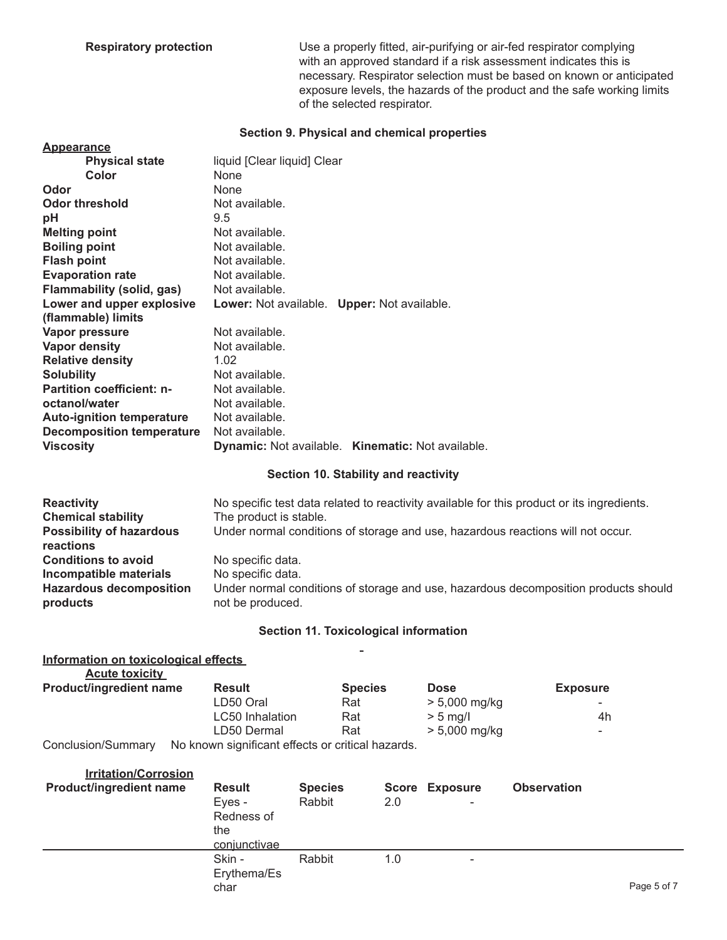**Respiratory protection** Use a properly fitted, air-purifying or air-fed respirator complying with an approved standard if a risk assessment indicates this is necessary. Respirator selection must be based on known or anticipated exposure levels, the hazards of the product and the safe working limits of the selected respirator.

#### **Section 9. Physical and chemical properties**

| <b>Appearance</b>                |                                                   |
|----------------------------------|---------------------------------------------------|
| <b>Physical state</b>            | liquid [Clear liquid] Clear                       |
| Color                            | None                                              |
| Odor                             | None                                              |
| Odor threshold                   | Not available.                                    |
| рH                               | 9.5                                               |
| <b>Melting point</b>             | Not available.                                    |
| <b>Boiling point</b>             | Not available.                                    |
| <b>Flash point</b>               | Not available.                                    |
| <b>Evaporation rate</b>          | Not available.                                    |
| <b>Flammability (solid, gas)</b> | Not available.                                    |
| Lower and upper explosive        | Lower: Not available. Upper: Not available.       |
| (flammable) limits               |                                                   |
| Vapor pressure                   | Not available.                                    |
| <b>Vapor density</b>             | Not available.                                    |
| <b>Relative density</b>          | 1.02                                              |
| <b>Solubility</b>                | Not available.                                    |
| <b>Partition coefficient: n-</b> | Not available.                                    |
| octanol/water                    | Not available.                                    |
| <b>Auto-ignition temperature</b> | Not available.                                    |
| <b>Decomposition temperature</b> | Not available.                                    |
| <b>Viscosity</b>                 | Dynamic: Not available. Kinematic: Not available. |
|                                  |                                                   |

#### **Section 10. Stability and reactivity**

| <b>Reactivity</b>                                                                                  | No specific test data related to reactivity available for this product or its ingredients.                                                        |
|----------------------------------------------------------------------------------------------------|---------------------------------------------------------------------------------------------------------------------------------------------------|
| <b>Chemical stability</b>                                                                          | The product is stable.                                                                                                                            |
| <b>Possibility of hazardous</b><br>reactions                                                       | Under normal conditions of storage and use, hazardous reactions will not occur.                                                                   |
| <b>Conditions to avoid</b><br>Incompatible materials<br><b>Hazardous decomposition</b><br>products | No specific data.<br>No specific data.<br>Under normal conditions of storage and use, hazardous decomposition products should<br>not be produced. |
|                                                                                                    |                                                                                                                                                   |

#### **Section 11. Toxicological information**  $\sim$

| Information on toxicological effects |                                                  |                |                 |                 |
|--------------------------------------|--------------------------------------------------|----------------|-----------------|-----------------|
| <b>Acute toxicity</b>                |                                                  |                |                 |                 |
| Product/ingredient name              | <b>Result</b>                                    | <b>Species</b> | <b>Dose</b>     | <b>Exposure</b> |
|                                      | LD50 Oral                                        | Rat            | $> 5,000$ mg/kg | ٠               |
|                                      | LC50 Inhalation                                  | Rat            | $> 5$ mg/l      | 4h              |
|                                      | LD50 Dermal                                      | Rat            | $> 5,000$ mg/kg | ٠               |
| Conclusion/Summary                   | No known cianificant offects or critical hazards |                |                 |                 |

Conclusion/Summary No known significant effects or critical hazards.

| <b>Irritation/Corrosion</b><br><b>Product/ingredient name</b> | <b>Result</b><br>Eyes -<br>Redness of<br>the<br>conjunctivae | <b>Species</b><br>Rabbit | 2.0 | <b>Score Exposure</b><br>$\overline{\phantom{a}}$ | <b>Observation</b> |             |
|---------------------------------------------------------------|--------------------------------------------------------------|--------------------------|-----|---------------------------------------------------|--------------------|-------------|
|                                                               | Skin -<br>Erythema/Es<br>char                                | Rabbit                   | 1.0 | ٠                                                 |                    | Page 5 of 7 |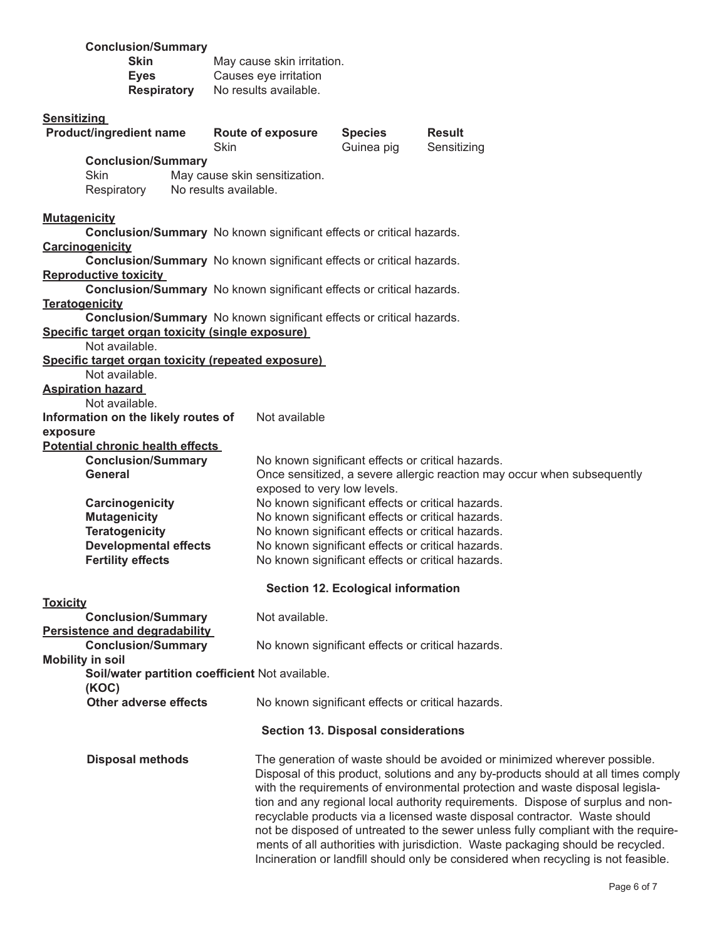| <b>Conclusion/Summary</b><br><b>Skin</b><br><b>Eyes</b><br><b>Respiratory</b>   | May cause skin irritation.<br>Causes eye irritation<br>No results available. |                                           |                                                                                                                                                                                                                                                                                                                                                                                                                                                                                                         |  |
|---------------------------------------------------------------------------------|------------------------------------------------------------------------------|-------------------------------------------|---------------------------------------------------------------------------------------------------------------------------------------------------------------------------------------------------------------------------------------------------------------------------------------------------------------------------------------------------------------------------------------------------------------------------------------------------------------------------------------------------------|--|
| <b>Sensitizing</b><br><b>Product/ingredient name</b>                            | <b>Route of exposure</b><br>Skin                                             | <b>Species</b><br>Guinea pig              | <b>Result</b><br>Sensitizing                                                                                                                                                                                                                                                                                                                                                                                                                                                                            |  |
| <b>Conclusion/Summary</b><br>Skin<br>Respiratory                                | May cause skin sensitization.<br>No results available.                       |                                           |                                                                                                                                                                                                                                                                                                                                                                                                                                                                                                         |  |
| <b>Mutagenicity</b>                                                             | Conclusion/Summary No known significant effects or critical hazards.         |                                           |                                                                                                                                                                                                                                                                                                                                                                                                                                                                                                         |  |
| Carcinogenicity                                                                 | Conclusion/Summary No known significant effects or critical hazards.         |                                           |                                                                                                                                                                                                                                                                                                                                                                                                                                                                                                         |  |
| <b>Reproductive toxicity</b>                                                    | Conclusion/Summary No known significant effects or critical hazards.         |                                           |                                                                                                                                                                                                                                                                                                                                                                                                                                                                                                         |  |
| <b>Teratogenicity</b>                                                           |                                                                              |                                           |                                                                                                                                                                                                                                                                                                                                                                                                                                                                                                         |  |
| Specific target organ toxicity (single exposure)                                | Conclusion/Summary No known significant effects or critical hazards.         |                                           |                                                                                                                                                                                                                                                                                                                                                                                                                                                                                                         |  |
| Not available.<br>Specific target organ toxicity (repeated exposure)            |                                                                              |                                           |                                                                                                                                                                                                                                                                                                                                                                                                                                                                                                         |  |
| Not available.<br><b>Aspiration hazard</b>                                      |                                                                              |                                           |                                                                                                                                                                                                                                                                                                                                                                                                                                                                                                         |  |
| Not available.<br>Information on the likely routes of                           | Not available                                                                |                                           |                                                                                                                                                                                                                                                                                                                                                                                                                                                                                                         |  |
| exposure                                                                        |                                                                              |                                           |                                                                                                                                                                                                                                                                                                                                                                                                                                                                                                         |  |
| <b>Potential chronic health effects</b><br><b>Conclusion/Summary</b><br>General |                                                                              |                                           | No known significant effects or critical hazards.<br>Once sensitized, a severe allergic reaction may occur when subsequently                                                                                                                                                                                                                                                                                                                                                                            |  |
| Carcinogenicity                                                                 | exposed to very low levels.                                                  |                                           | No known significant effects or critical hazards.                                                                                                                                                                                                                                                                                                                                                                                                                                                       |  |
| <b>Mutagenicity</b><br><b>Teratogenicity</b>                                    |                                                                              |                                           | No known significant effects or critical hazards.<br>No known significant effects or critical hazards.                                                                                                                                                                                                                                                                                                                                                                                                  |  |
| <b>Developmental effects</b><br><b>Fertility effects</b>                        |                                                                              |                                           | No known significant effects or critical hazards.<br>No known significant effects or critical hazards.                                                                                                                                                                                                                                                                                                                                                                                                  |  |
|                                                                                 |                                                                              | <b>Section 12. Ecological information</b> |                                                                                                                                                                                                                                                                                                                                                                                                                                                                                                         |  |
| <b>Toxicity</b>                                                                 | Not available.                                                               |                                           |                                                                                                                                                                                                                                                                                                                                                                                                                                                                                                         |  |
| <b>Conclusion/Summary</b><br>Persistence and degradability                      |                                                                              |                                           |                                                                                                                                                                                                                                                                                                                                                                                                                                                                                                         |  |
| <b>Conclusion/Summary</b><br><b>Mobility in soil</b>                            |                                                                              |                                           | No known significant effects or critical hazards.                                                                                                                                                                                                                                                                                                                                                                                                                                                       |  |
| (KOC)                                                                           | Soil/water partition coefficient Not available.                              |                                           |                                                                                                                                                                                                                                                                                                                                                                                                                                                                                                         |  |
| Other adverse effects                                                           |                                                                              |                                           | No known significant effects or critical hazards.                                                                                                                                                                                                                                                                                                                                                                                                                                                       |  |
| <b>Section 13. Disposal considerations</b>                                      |                                                                              |                                           |                                                                                                                                                                                                                                                                                                                                                                                                                                                                                                         |  |
| <b>Disposal methods</b>                                                         |                                                                              |                                           | The generation of waste should be avoided or minimized wherever possible.<br>Disposal of this product, solutions and any by-products should at all times comply<br>with the requirements of environmental protection and waste disposal legisla-<br>tion and any regional local authority requirements. Dispose of surplus and non-<br>recyclable products via a licensed waste disposal contractor. Waste should<br>not be disposed of untreated to the sewer unless fully compliant with the require- |  |

ments of all authorities with jurisdiction. Waste packaging should be recycled. Incineration or landfill should only be considered when recycling is not feasible.